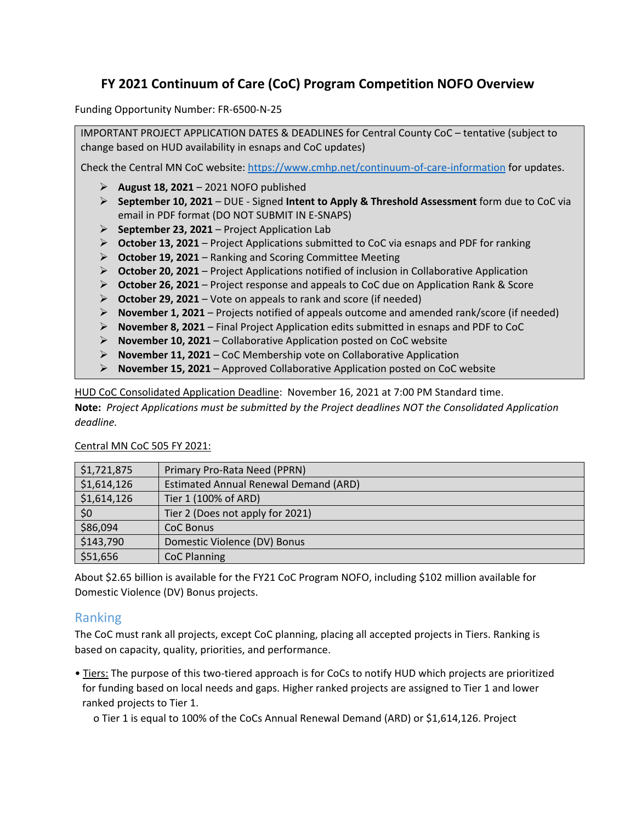# **FY 2021 Continuum of Care (CoC) Program Competition NOFO Overview**

Funding Opportunity Number: FR-6500-N-25

IMPORTANT PROJECT APPLICATION DATES & DEADLINES for Central County CoC – tentative (subject to change based on HUD availability in esnaps and CoC updates)

Check the Central MN CoC website:<https://www.cmhp.net/continuum-of-care-information> for updates.

- ➢ **August 18, 2021** 2021 NOFO published
- ➢ **September 10, 2021** DUE Signed **Intent to Apply & Threshold Assessment** form due to CoC via email in PDF format (DO NOT SUBMIT IN E-SNAPS)
- ➢ **September 23, 2021** Project Application Lab
- ➢ **October 13, 2021** Project Applications submitted to CoC via esnaps and PDF for ranking
- ➢ **October 19, 2021** Ranking and Scoring Committee Meeting
- ➢ **October 20, 2021** Project Applications notified of inclusion in Collaborative Application
- ➢ **October 26, 2021** Project response and appeals to CoC due on Application Rank & Score
- ➢ **October 29, 2021** Vote on appeals to rank and score (if needed)
- ➢ **November 1, 2021** Projects notified of appeals outcome and amended rank/score (if needed)
- ➢ **November 8, 2021** Final Project Application edits submitted in esnaps and PDF to CoC
- ➢ **November 10, 2021** Collaborative Application posted on CoC website
- ➢ **November 11, 2021** CoC Membership vote on Collaborative Application
- ➢ **November 15, 2021** Approved Collaborative Application posted on CoC website

HUD CoC Consolidated Application Deadline: November 16, 2021 at 7:00 PM Standard time. **Note:** *Project Applications must be submitted by the Project deadlines NOT the Consolidated Application deadline.*

| \$1,721,875 | Primary Pro-Rata Need (PPRN)          |
|-------------|---------------------------------------|
| \$1,614,126 | Estimated Annual Renewal Demand (ARD) |
| \$1,614,126 | Tier 1 (100% of ARD)                  |
| \$0         | Tier 2 (Does not apply for 2021)      |
| \$86,094    | CoC Bonus                             |
| \$143,790   | Domestic Violence (DV) Bonus          |
| \$51,656    | CoC Planning                          |

#### Central MN CoC 505 FY 2021:

About \$2.65 billion is available for the FY21 CoC Program NOFO, including \$102 million available for Domestic Violence (DV) Bonus projects.

#### Ranking

The CoC must rank all projects, except CoC planning, placing all accepted projects in Tiers. Ranking is based on capacity, quality, priorities, and performance.

• Tiers: The purpose of this two-tiered approach is for CoCs to notify HUD which projects are prioritized for funding based on local needs and gaps. Higher ranked projects are assigned to Tier 1 and lower ranked projects to Tier 1.

o Tier 1 is equal to 100% of the CoCs Annual Renewal Demand (ARD) or \$1,614,126. Project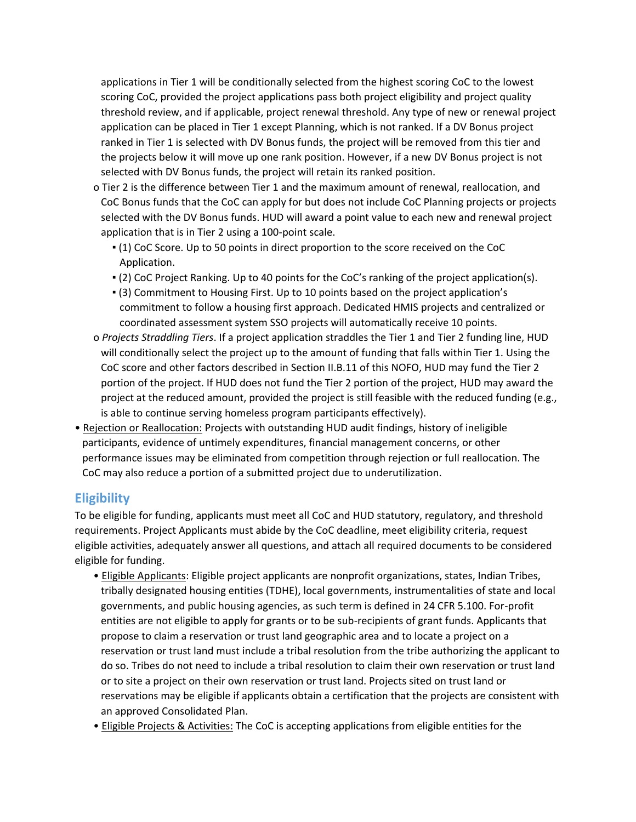applications in Tier 1 will be conditionally selected from the highest scoring CoC to the lowest scoring CoC, provided the project applications pass both project eligibility and project quality threshold review, and if applicable, project renewal threshold. Any type of new or renewal project application can be placed in Tier 1 except Planning, which is not ranked. If a DV Bonus project ranked in Tier 1 is selected with DV Bonus funds, the project will be removed from this tier and the projects below it will move up one rank position. However, if a new DV Bonus project is not selected with DV Bonus funds, the project will retain its ranked position.

- o Tier 2 is the difference between Tier 1 and the maximum amount of renewal, reallocation, and CoC Bonus funds that the CoC can apply for but does not include CoC Planning projects or projects selected with the DV Bonus funds. HUD will award a point value to each new and renewal project application that is in Tier 2 using a 100-point scale.
	- (1) CoC Score. Up to 50 points in direct proportion to the score received on the CoC Application.
	- (2) CoC Project Ranking. Up to 40 points for the CoC's ranking of the project application(s).
	- (3) Commitment to Housing First. Up to 10 points based on the project application's commitment to follow a housing first approach. Dedicated HMIS projects and centralized or coordinated assessment system SSO projects will automatically receive 10 points.
- o *Projects Straddling Tiers*. If a project application straddles the Tier 1 and Tier 2 funding line, HUD will conditionally select the project up to the amount of funding that falls within Tier 1. Using the CoC score and other factors described in Section II.B.11 of this NOFO, HUD may fund the Tier 2 portion of the project. If HUD does not fund the Tier 2 portion of the project, HUD may award the project at the reduced amount, provided the project is still feasible with the reduced funding (e.g., is able to continue serving homeless program participants effectively).
- Rejection or Reallocation: Projects with outstanding HUD audit findings, history of ineligible participants, evidence of untimely expenditures, financial management concerns, or other performance issues may be eliminated from competition through rejection or full reallocation. The CoC may also reduce a portion of a submitted project due to underutilization.

## **Eligibility**

To be eligible for funding, applicants must meet all CoC and HUD statutory, regulatory, and threshold requirements. Project Applicants must abide by the CoC deadline, meet eligibility criteria, request eligible activities, adequately answer all questions, and attach all required documents to be considered eligible for funding.

• Eligible Applicants: Eligible project applicants are nonprofit organizations, states, Indian Tribes, tribally designated housing entities (TDHE), local governments, instrumentalities of state and local governments, and public housing agencies, as such term is defined in 24 CFR 5.100. For-profit entities are not eligible to apply for grants or to be sub-recipients of grant funds. Applicants that propose to claim a reservation or trust land geographic area and to locate a project on a reservation or trust land must include a tribal resolution from the tribe authorizing the applicant to do so. Tribes do not need to include a tribal resolution to claim their own reservation or trust land or to site a project on their own reservation or trust land. Projects sited on trust land or reservations may be eligible if applicants obtain a certification that the projects are consistent with an approved Consolidated Plan.

• Eligible Projects & Activities: The CoC is accepting applications from eligible entities for the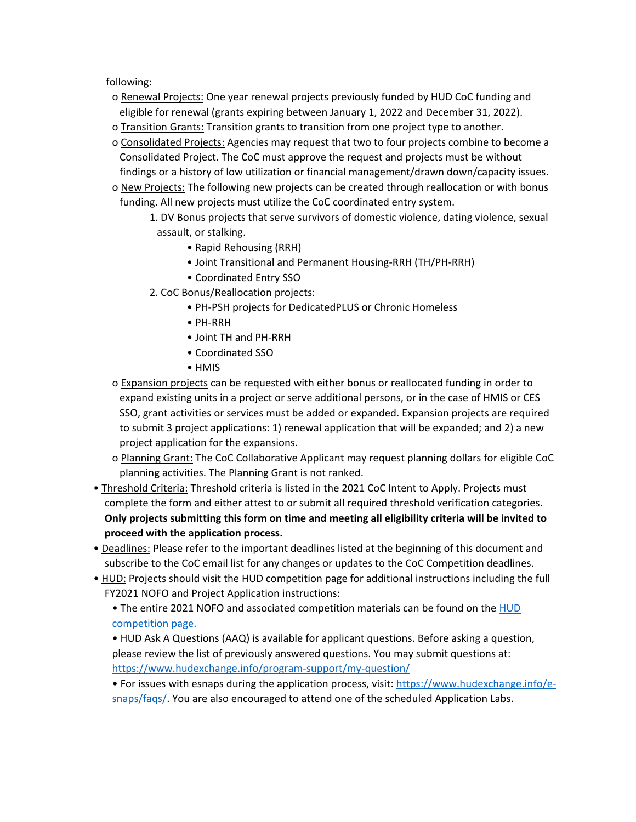following:

- o Renewal Projects: One year renewal projects previously funded by HUD CoC funding and eligible for renewal (grants expiring between January 1, 2022 and December 31, 2022).
- o Transition Grants: Transition grants to transition from one project type to another.
- o Consolidated Projects: Agencies may request that two to four projects combine to become a Consolidated Project. The CoC must approve the request and projects must be without findings or a history of low utilization or financial management/drawn down/capacity issues.
- o New Projects: The following new projects can be created through reallocation or with bonus funding. All new projects must utilize the CoC coordinated entry system.
	- 1. DV Bonus projects that serve survivors of domestic violence, dating violence, sexual assault, or stalking.
		- Rapid Rehousing (RRH)
		- Joint Transitional and Permanent Housing-RRH (TH/PH-RRH)
		- Coordinated Entry SSO
	- 2. CoC Bonus/Reallocation projects:
		- PH-PSH projects for DedicatedPLUS or Chronic Homeless
		- PH-RRH
		- Joint TH and PH-RRH
		- Coordinated SSO
		- HMIS
- o Expansion projects can be requested with either bonus or reallocated funding in order to expand existing units in a project or serve additional persons, or in the case of HMIS or CES SSO, grant activities or services must be added or expanded. Expansion projects are required to submit 3 project applications: 1) renewal application that will be expanded; and 2) a new project application for the expansions.
- o Planning Grant: The CoC Collaborative Applicant may request planning dollars for eligible CoC planning activities. The Planning Grant is not ranked.
- Threshold Criteria: Threshold criteria is listed in the 2021 CoC Intent to Apply. Projects must complete the form and either attest to or submit all required threshold verification categories. **Only projects submitting this form on time and meeting all eligibility criteria will be invited to proceed with the application process.**
- Deadlines: Please refer to the important deadlines listed at the beginning of this document and subscribe to the CoC email list for any changes or updates to the CoC Competition deadlines.
- HUD: Projects should visit the HUD competition page for additional instructions including the full FY2021 NOFO and Project Application instructions:

• The entire 2021 NOFO and associated competition materials can be found on the [HUD](https://www.hud.gov/program_offices/comm_planning/coc/competition)  [competition page.](https://www.hud.gov/program_offices/comm_planning/coc/competition)

• HUD Ask A Questions (AAQ) is available for applicant questions. Before asking a question, please review the list of previously answered questions. You may submit questions at: <https://www.hudexchange.info/program-support/my-question/>

• For issues with esnaps during the application process, visit: [https://www.hudexchange.info/e](https://www.hudexchange.info/e-snaps/faqs/)[snaps/faqs/.](https://www.hudexchange.info/e-snaps/faqs/) You are also encouraged to attend one of the scheduled Application Labs.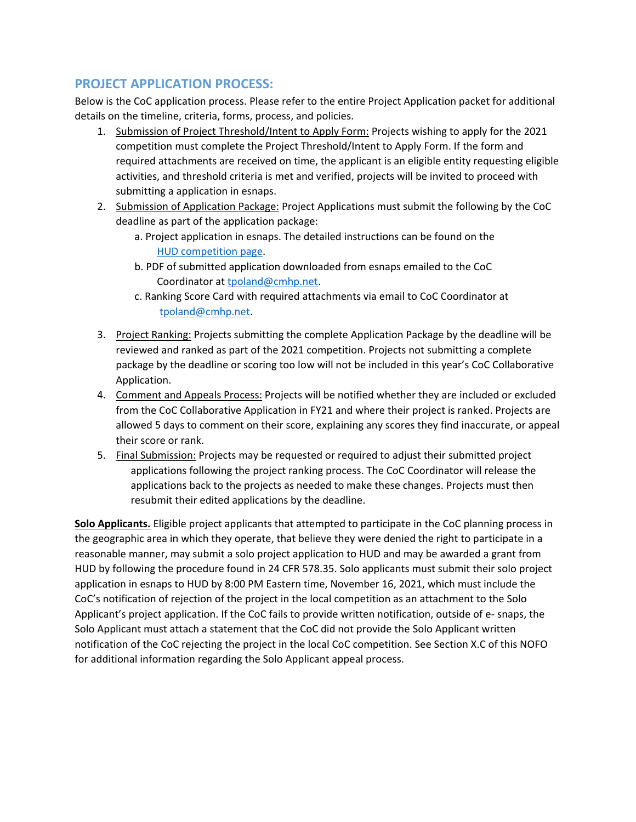## **PROJECT APPLICATION PROCESS:**

Below is the CoC application process. Please refer to the entire Project Application packet for additional details on the timeline, criteria, forms, process, and policies.

- 1. Submission of Project Threshold/Intent to Apply Form: Projects wishing to apply for the 2021 competition must complete the Project Threshold/Intent to Apply Form. If the form and required attachments are received on time, the applicant is an eligible entity requesting eligible activities, and threshold criteria is met and verified, projects will be invited to proceed with submitting a application in esnaps.
- 2. Submission of Application Package: Project Applications must submit the following by the CoC deadline as part of the application package:
	- a. Project application in esnaps. The detailed instructions can be found on the [HUD competition page.](https://www.hud.gov/program_offices/comm_planning/coc/competition)
	- b. PDF of submitted application downloaded from esnaps emailed to the CoC Coordinator at [tpoland@cmhp.net.](mailto:tpoland@cmhp.net)
	- c. Ranking Score Card with required attachments via email to CoC Coordinator at [tpoland@cmhp.net.](mailto:tpoland@cmhp.net)
- 3. Project Ranking: Projects submitting the complete Application Package by the deadline will be reviewed and ranked as part of the 2021 competition. Projects not submitting a complete package by the deadline or scoring too low will not be included in this year's CoC Collaborative Application.
- 4. Comment and Appeals Process: Projects will be notified whether they are included or excluded from the CoC Collaborative Application in FY21 and where their project is ranked. Projects are allowed 5 days to comment on their score, explaining any scores they find inaccurate, or appeal their score or rank.
- 5. Final Submission: Projects may be requested or required to adjust their submitted project applications following the project ranking process. The CoC Coordinator will release the applications back to the projects as needed to make these changes. Projects must then resubmit their edited applications by the deadline.

**Solo Applicants.** Eligible project applicants that attempted to participate in the CoC planning process in the geographic area in which they operate, that believe they were denied the right to participate in a reasonable manner, may submit a solo project application to HUD and may be awarded a grant from HUD by following the procedure found in 24 CFR 578.35. Solo applicants must submit their solo project application in esnaps to HUD by 8:00 PM Eastern time, November 16, 2021, which must include the CoC's notification of rejection of the project in the local competition as an attachment to the Solo Applicant's project application. If the CoC fails to provide written notification, outside of e- snaps, the Solo Applicant must attach a statement that the CoC did not provide the Solo Applicant written notification of the CoC rejecting the project in the local CoC competition. See Section X.C of this NOFO for additional information regarding the Solo Applicant appeal process.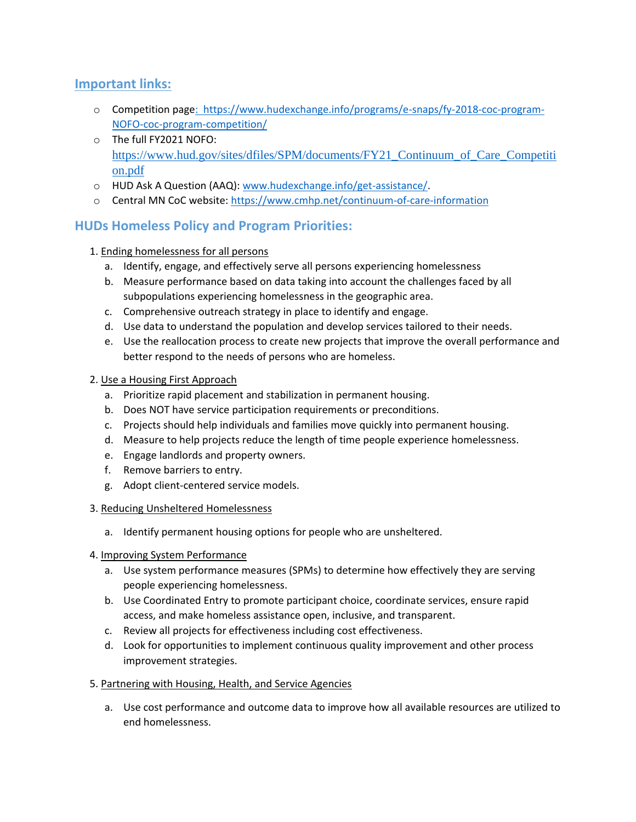## **Important links:**

- o Competition pag[e: https://www.hudexchange.info/programs/e-snaps/fy-2018-coc-program-](https://www.hudexchange.info/programs/e-snaps/fy-2021-coc-program-nofa-coc-program-competition/)[NOFO-coc-program-competition/](https://www.hudexchange.info/programs/e-snaps/fy-2021-coc-program-nofa-coc-program-competition/)
- o The full FY2021 NOFO: [https://www.hud.gov/sites/dfiles/SPM/documents/FY21\\_Continuum\\_of\\_Care\\_Competiti](https://www.hud.gov/sites/dfiles/SPM/documents/FY21_Continuum_of_Care_Competition.pdf) [on.pdf](https://www.hud.gov/sites/dfiles/SPM/documents/FY21_Continuum_of_Care_Competition.pdf)
- o HUD Ask A Question (AAQ)[: www.hudexchange.info/get-assistance/.](http://www.hudexchange.info/get-assistance/)
- o Central MN CoC website: <https://www.cmhp.net/continuum-of-care-information>

## **HUDs Homeless Policy and Program Priorities:**

- 1. Ending homelessness for all persons
	- a. Identify, engage, and effectively serve all persons experiencing homelessness
	- b. Measure performance based on data taking into account the challenges faced by all subpopulations experiencing homelessness in the geographic area.
	- c. Comprehensive outreach strategy in place to identify and engage.
	- d. Use data to understand the population and develop services tailored to their needs.
	- e. Use the reallocation process to create new projects that improve the overall performance and better respond to the needs of persons who are homeless.
- 2. Use a Housing First Approach
	- a. Prioritize rapid placement and stabilization in permanent housing.
	- b. Does NOT have service participation requirements or preconditions.
	- c. Projects should help individuals and families move quickly into permanent housing.
	- d. Measure to help projects reduce the length of time people experience homelessness.
	- e. Engage landlords and property owners.
	- f. Remove barriers to entry.
	- g. Adopt client-centered service models.
- 3. Reducing Unsheltered Homelessness
	- a. Identify permanent housing options for people who are unsheltered.
- 4. Improving System Performance
	- a. Use system performance measures (SPMs) to determine how effectively they are serving people experiencing homelessness.
	- b. Use Coordinated Entry to promote participant choice, coordinate services, ensure rapid access, and make homeless assistance open, inclusive, and transparent.
	- c. Review all projects for effectiveness including cost effectiveness.
	- d. Look for opportunities to implement continuous quality improvement and other process improvement strategies.
- 5. Partnering with Housing, Health, and Service Agencies
	- a. Use cost performance and outcome data to improve how all available resources are utilized to end homelessness.